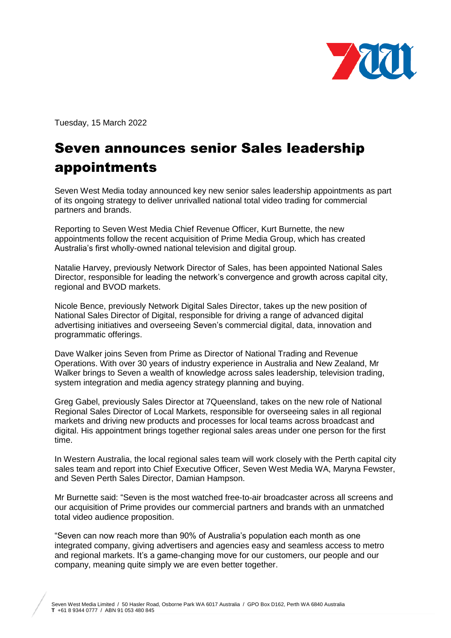

Tuesday, 15 March 2022

## Seven announces senior Sales leadership appointments

Seven West Media today announced key new senior sales leadership appointments as part of its ongoing strategy to deliver unrivalled national total video trading for commercial partners and brands.

Reporting to Seven West Media Chief Revenue Officer, Kurt Burnette, the new appointments follow the recent acquisition of Prime Media Group, which has created Australia's first wholly-owned national television and digital group.

Natalie Harvey, previously Network Director of Sales, has been appointed National Sales Director, responsible for leading the network's convergence and growth across capital city, regional and BVOD markets.

Nicole Bence, previously Network Digital Sales Director, takes up the new position of National Sales Director of Digital, responsible for driving a range of advanced digital advertising initiatives and overseeing Seven's commercial digital, data, innovation and programmatic offerings.

Dave Walker joins Seven from Prime as Director of National Trading and Revenue Operations. With over 30 years of industry experience in Australia and New Zealand, Mr Walker brings to Seven a wealth of knowledge across sales leadership, television trading, system integration and media agency strategy planning and buying.

Greg Gabel, previously Sales Director at 7Queensland, takes on the new role of National Regional Sales Director of Local Markets, responsible for overseeing sales in all regional markets and driving new products and processes for local teams across broadcast and digital. His appointment brings together regional sales areas under one person for the first time.

In Western Australia, the local regional sales team will work closely with the Perth capital city sales team and report into Chief Executive Officer, Seven West Media WA, Maryna Fewster, and Seven Perth Sales Director, Damian Hampson.

Mr Burnette said: "Seven is the most watched free-to-air broadcaster across all screens and our acquisition of Prime provides our commercial partners and brands with an unmatched total video audience proposition.

"Seven can now reach more than 90% of Australia's population each month as one integrated company, giving advertisers and agencies easy and seamless access to metro and regional markets. It's a game-changing move for our customers, our people and our company, meaning quite simply we are even better together.